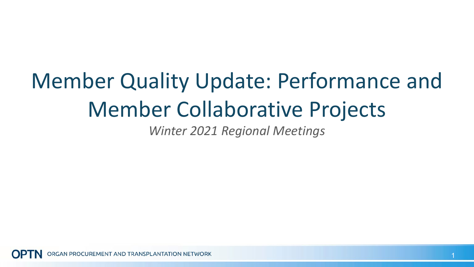# Member Quality Update: Performance and Member Collaborative Projects

*Winter 2021 Regional Meetings*

GAN PROCUREMENT AND TRANSPLANTATION NETWORK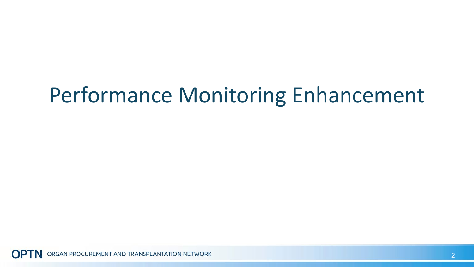## Performance Monitoring Enhancement

ORGAN PROCUREMENT AND TRANSPLANTATION NETWORK **OPT**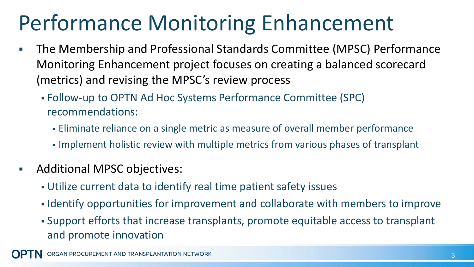## Performance Monitoring Enhancement

- The Membership and Professional Standards Committee (MPSC) Performance Monitoring Enhancement project focuses on creating a balanced scorecard (metrics) and revising the MPSC's review process
	- Follow-up to OPTN Ad Hoc Systems Performance Committee (SPC) recommendations:
		- Eliminate reliance on a single metric as measure of overall member performance
		- Implement holistic review with multiple metrics from various phases of transplant
- **Additional MPSC objectives:** 
	- Utilize current data to identify real time patient safety issues
	- I dentify opportunities for improvement and collaborate with members to improve
	- Support efforts that increase transplants, promote equitable access to transplant and promote innovation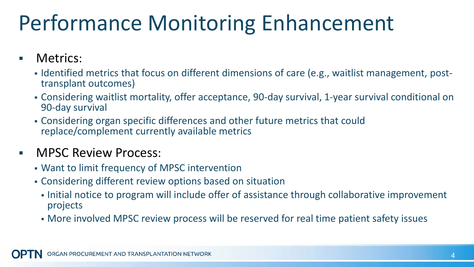## Performance Monitoring Enhancement

#### Metrics:

- Indentified metrics that focus on different dimensions of care (e.g., waitlist management, post-<br>transplant outcomes)
- Considering waitlist mortality, offer acceptance, 90-day survival, 1-year survival conditional on 90-day survival
- Considering organ specific differences and other future metrics that could replace/complement currently available metrics

#### **NPSC Review Process:**

- Want to limit frequency of MPSC intervention
- Considering different review options based on situation
	- Initial notice to program will include offer of assistance through collaborative improvement projects
	- More involved MPSC review process will be reserved for real time patient safety issues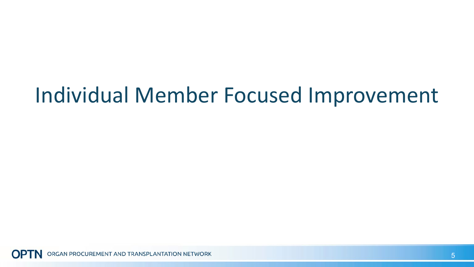#### Individual Member Focused Improvement

ORGAN PROCUREMENT AND TRANSPLANTATION NETWORK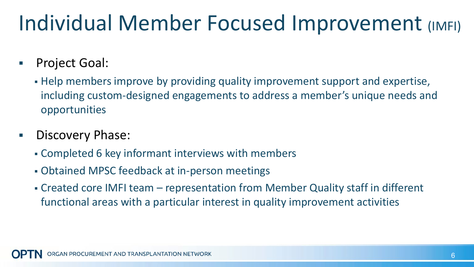## Individual Member Focused Improvement (IMFI)

- Project Goal:
	- Help members improve by providing quality improvement support and expertise, including custom-designed engagements to address a member's unique needs and opportunities
- **Discovery Phase:** 
	- Completed 6 key informant interviews with members
	- Obtained MPSC feedback at in-person meetings
	- Created core IMFI team representation from Member Quality staff in different functional areas with a particular interest in quality improvement activities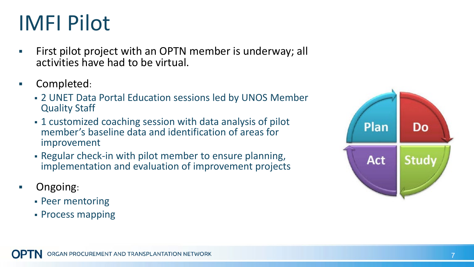## IMFI Pilot

- First pilot project with an OPTN member is underway; all activities have had to be virtual.
- Completed:
	- 2 UNET Data Portal Education sessions led by UNOS Member Quality Staff
	- 1 customized coaching session with data analysis of pilot member's baseline data and identification of areas for improvement
	- Regular check-in with pilot member to ensure planning, implementation and evaluation of improvement projects
- Ongoing:
	- Peer mentoring
	- Process mapping

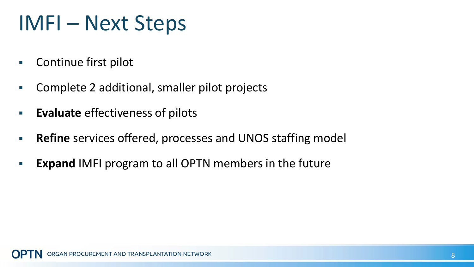### IMFI – Next Steps

- **Continue first pilot**
- Complete 2 additional, smaller pilot projects
- **Evaluate** effectiveness of pilots
- **Refine** services offered, processes and UNOS staffing model
- **Expand IMFI program to all OPTN members in the future**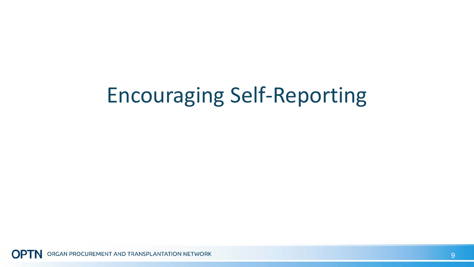## Encouraging Self-Reporting

ORGAN PROCUREMENT AND TRANSPLANTATION NETWORK **OPTN**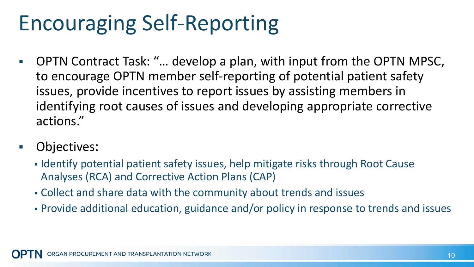## Encouraging Self-Reporting

- OPTN Contract Task: "… develop a plan, with input from the OPTN MPSC, to encourage OPTN member self-reporting of potential patient safety issues, provide incentives to report issues by assisting members in identifying root causes of issues and developing appropriate corrective actions."
- Objectives:
	- I Identify potential patient safety issues, help mitigate risks through Root Cause Analyses (RCA) and Corrective Action Plans (CAP)
	- Collect and share data with the community about trends and issues
	- Provide additional education, guidance and/or policy in response to trends and issues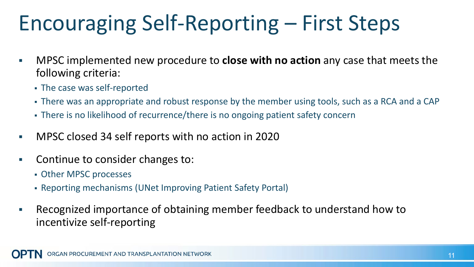## Encouraging Self-Reporting – First Steps

- MPSC implemented new procedure to **close with no action** any case that meets the following criteria:
	- The case was self-reported
	- There was an appropriate and robust response by the member using tools, such as a RCA and a CAP
	- There is no likelihood of recurrence/there is no ongoing patient safety concern
- MPSC closed 34 self reports with no action in 2020
- **EXECONTER CONST CONTER** Continue to consider changes to:
	- Other MPSC processes
	- Reporting mechanisms (UNet Improving Patient Safety Portal)
- Recognized importance of obtaining member feedback to understand how to incentivize self-reporting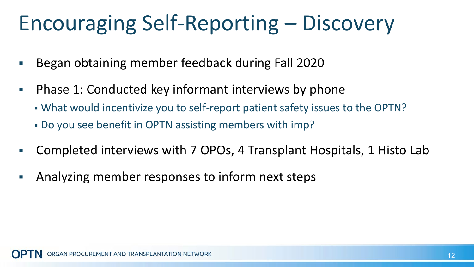## Encouraging Self-Reporting – Discovery

- Began obtaining member feedback during Fall 2020
- Phase 1: Conducted key informant interviews by phone
	- What would incentivize you to self-report patient safety issues to the OPTN?
	- Do you see benefit in OPTN assisting members with imp?
- Completed interviews with 7 OPOs, 4 Transplant Hospitals, 1 Histo Lab
- Analyzing member responses to inform next steps